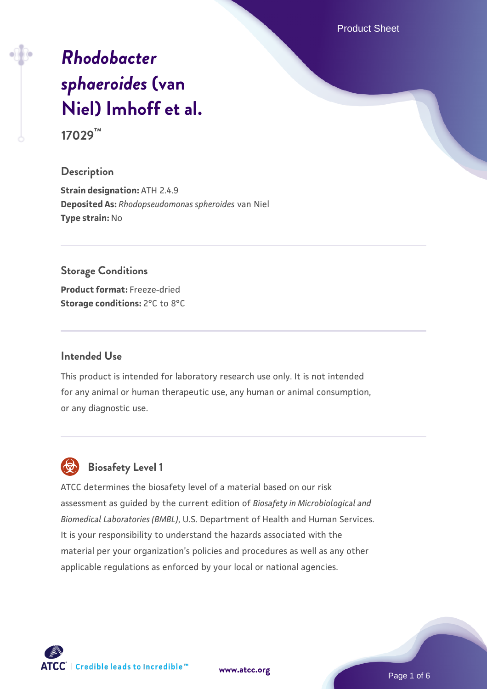Product Sheet

# *[Rhodobacter](https://www.atcc.org/products/17029) [sphaeroides](https://www.atcc.org/products/17029)* **[\(van](https://www.atcc.org/products/17029) [Niel\) Imhoff et al.](https://www.atcc.org/products/17029) 17029™**

#### **Description**

**Strain designation:** ATH 2.4.9 **Deposited As:** *Rhodopseudomonas spheroides* van Niel **Type strain:** No

#### **Storage Conditions**

**Product format:** Freeze-dried **Storage conditions: 2°C to 8°C** 

#### **Intended Use**

This product is intended for laboratory research use only. It is not intended for any animal or human therapeutic use, any human or animal consumption, or any diagnostic use.

# **Biosafety Level 1**

ATCC determines the biosafety level of a material based on our risk assessment as guided by the current edition of *Biosafety in Microbiological and Biomedical Laboratories (BMBL)*, U.S. Department of Health and Human Services. It is your responsibility to understand the hazards associated with the material per your organization's policies and procedures as well as any other applicable regulations as enforced by your local or national agencies.



**[www.atcc.org](http://www.atcc.org)**

Page 1 of 6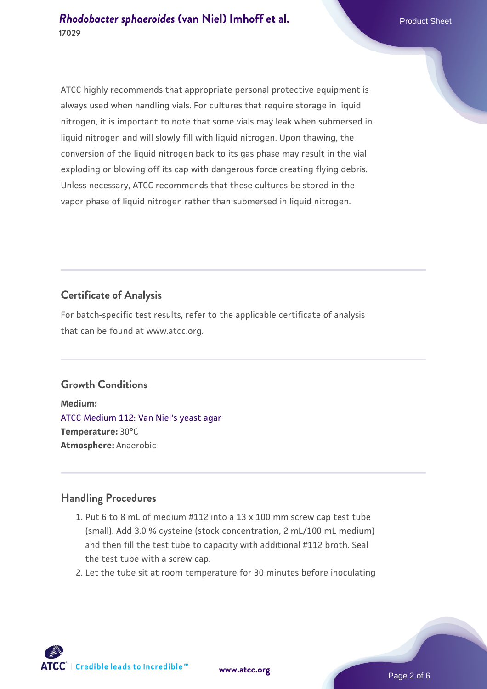ATCC highly recommends that appropriate personal protective equipment is always used when handling vials. For cultures that require storage in liquid nitrogen, it is important to note that some vials may leak when submersed in liquid nitrogen and will slowly fill with liquid nitrogen. Upon thawing, the conversion of the liquid nitrogen back to its gas phase may result in the vial exploding or blowing off its cap with dangerous force creating flying debris. Unless necessary, ATCC recommends that these cultures be stored in the vapor phase of liquid nitrogen rather than submersed in liquid nitrogen.

# **Certificate of Analysis**

For batch-specific test results, refer to the applicable certificate of analysis that can be found at www.atcc.org.

#### **Growth Conditions**

**Medium:**  [ATCC Medium 112: Van Niel's yeast agar](https://www.atcc.org/-/media/product-assets/documents/microbial-media-formulations/1/1/2/atcc-medium-112.pdf?rev=87a751a17d394f45a0f07c9d143f3f5b) **Temperature:** 30°C **Atmosphere:** Anaerobic

#### **Handling Procedures**

- 1. Put 6 to 8 mL of medium #112 into a 13 x 100 mm screw cap test tube (small). Add 3.0 % cysteine (stock concentration, 2 mL/100 mL medium) and then fill the test tube to capacity with additional #112 broth. Seal the test tube with a screw cap.
- 2. Let the tube sit at room temperature for 30 minutes before inoculating

**ATCC** | Credible leads to Incredible™

**[www.atcc.org](http://www.atcc.org)**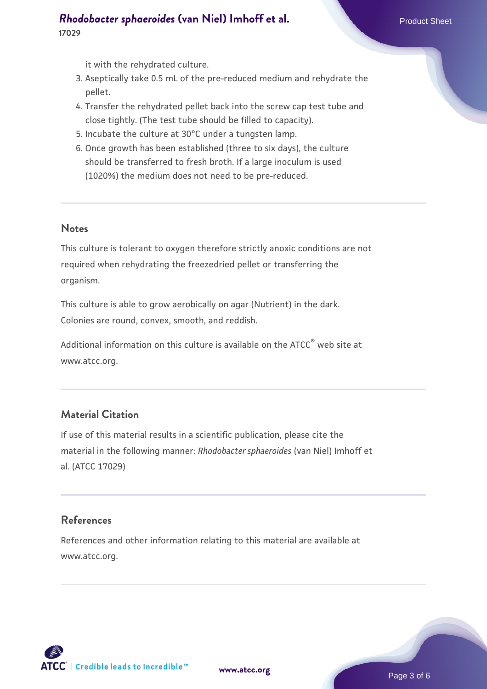### *[Rhodobacter sphaeroides](https://www.atcc.org/products/17029)* **[\(van Niel\) Imhoff et al.](https://www.atcc.org/products/17029) Product Sheet Product Sheet 17029**

it with the rehydrated culture.

- 3. Aseptically take 0.5 mL of the pre-reduced medium and rehydrate the pellet.
- 4. Transfer the rehydrated pellet back into the screw cap test tube and close tightly. (The test tube should be filled to capacity).
- 5. Incubate the culture at 30°C under a tungsten lamp.
- 6. Once growth has been established (three to six days), the culture should be transferred to fresh broth. If a large inoculum is used (1020%) the medium does not need to be pre-reduced.

#### **Notes**

This culture is tolerant to oxygen therefore strictly anoxic conditions are not required when rehydrating the freezedried pellet or transferring the organism.

This culture is able to grow aerobically on agar (Nutrient) in the dark. Colonies are round, convex, smooth, and reddish.

Additional information on this culture is available on the ATCC<sup>®</sup> web site at www.atcc.org.

### **Material Citation**

If use of this material results in a scientific publication, please cite the material in the following manner: *Rhodobacter sphaeroides* (van Niel) Imhoff et al. (ATCC 17029)

#### **References**

References and other information relating to this material are available at www.atcc.org.

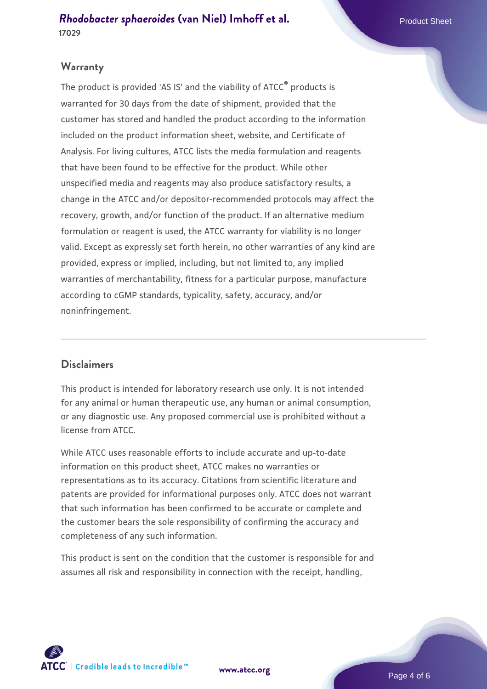#### **Warranty**

The product is provided 'AS IS' and the viability of ATCC® products is warranted for 30 days from the date of shipment, provided that the customer has stored and handled the product according to the information included on the product information sheet, website, and Certificate of Analysis. For living cultures, ATCC lists the media formulation and reagents that have been found to be effective for the product. While other unspecified media and reagents may also produce satisfactory results, a change in the ATCC and/or depositor-recommended protocols may affect the recovery, growth, and/or function of the product. If an alternative medium formulation or reagent is used, the ATCC warranty for viability is no longer valid. Except as expressly set forth herein, no other warranties of any kind are provided, express or implied, including, but not limited to, any implied warranties of merchantability, fitness for a particular purpose, manufacture according to cGMP standards, typicality, safety, accuracy, and/or noninfringement.

#### **Disclaimers**

This product is intended for laboratory research use only. It is not intended for any animal or human therapeutic use, any human or animal consumption, or any diagnostic use. Any proposed commercial use is prohibited without a license from ATCC.

While ATCC uses reasonable efforts to include accurate and up-to-date information on this product sheet, ATCC makes no warranties or representations as to its accuracy. Citations from scientific literature and patents are provided for informational purposes only. ATCC does not warrant that such information has been confirmed to be accurate or complete and the customer bears the sole responsibility of confirming the accuracy and completeness of any such information.

This product is sent on the condition that the customer is responsible for and assumes all risk and responsibility in connection with the receipt, handling,



**[www.atcc.org](http://www.atcc.org)**

Page 4 of 6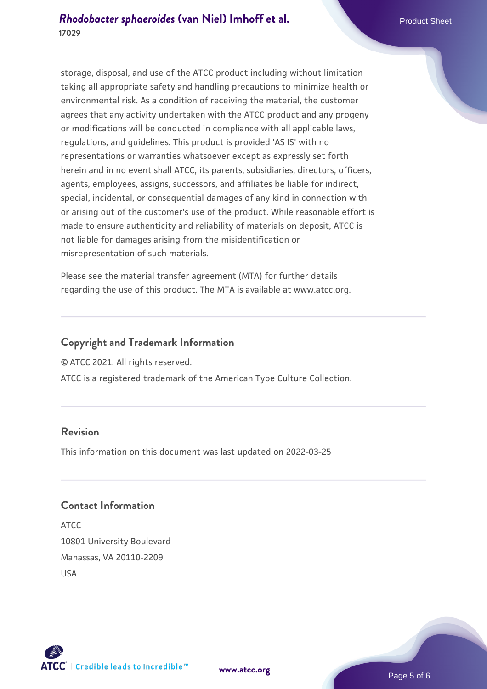#### *[Rhodobacter sphaeroides](https://www.atcc.org/products/17029)* **[\(van Niel\) Imhoff et al.](https://www.atcc.org/products/17029) Product Sheet Product Sheet 17029**

storage, disposal, and use of the ATCC product including without limitation taking all appropriate safety and handling precautions to minimize health or environmental risk. As a condition of receiving the material, the customer agrees that any activity undertaken with the ATCC product and any progeny or modifications will be conducted in compliance with all applicable laws, regulations, and guidelines. This product is provided 'AS IS' with no representations or warranties whatsoever except as expressly set forth herein and in no event shall ATCC, its parents, subsidiaries, directors, officers, agents, employees, assigns, successors, and affiliates be liable for indirect, special, incidental, or consequential damages of any kind in connection with or arising out of the customer's use of the product. While reasonable effort is made to ensure authenticity and reliability of materials on deposit, ATCC is not liable for damages arising from the misidentification or misrepresentation of such materials.

Please see the material transfer agreement (MTA) for further details regarding the use of this product. The MTA is available at www.atcc.org.

### **Copyright and Trademark Information**

© ATCC 2021. All rights reserved.

ATCC is a registered trademark of the American Type Culture Collection.

#### **Revision**

This information on this document was last updated on 2022-03-25

### **Contact Information**

ATCC 10801 University Boulevard Manassas, VA 20110-2209 USA